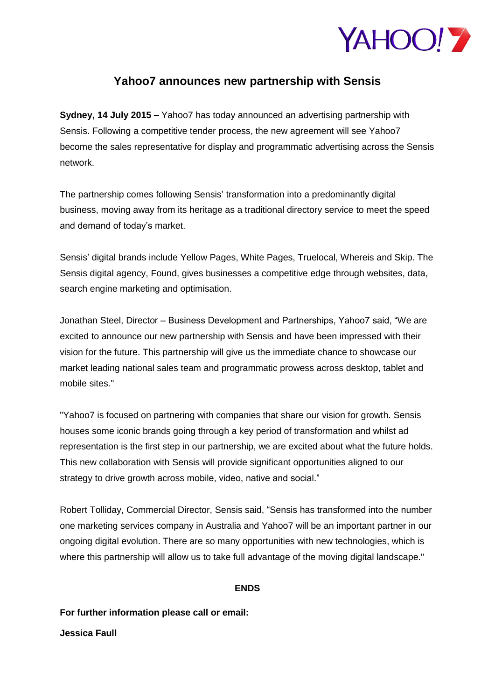

## **Yahoo7 announces new partnership with Sensis**

**Sydney, 14 July 2015 –** Yahoo7 has today announced an advertising partnership with Sensis. Following a competitive tender process, the new agreement will see Yahoo7 become the sales representative for display and programmatic advertising across the Sensis network.

The partnership comes following Sensis' transformation into a predominantly digital business, moving away from its heritage as a traditional directory service to meet the speed and demand of today's market.

Sensis' digital brands include Yellow Pages, White Pages, Truelocal, Whereis and Skip. The Sensis digital agency, Found, gives businesses a competitive edge through websites, data, search engine marketing and optimisation.

Jonathan Steel, Director – Business Development and Partnerships, Yahoo7 said, "We are excited to announce our new partnership with Sensis and have been impressed with their vision for the future. This partnership will give us the immediate chance to showcase our market leading national sales team and programmatic prowess across desktop, tablet and mobile sites."

"Yahoo7 is focused on partnering with companies that share our vision for growth. Sensis houses some iconic brands going through a key period of transformation and whilst ad representation is the first step in our partnership, we are excited about what the future holds. This new collaboration with Sensis will provide significant opportunities aligned to our strategy to drive growth across mobile, video, native and social."

Robert Tolliday, Commercial Director, Sensis said, "Sensis has transformed into the number one marketing services company in Australia and Yahoo7 will be an important partner in our ongoing digital evolution. There are so many opportunities with new technologies, which is where this partnership will allow us to take full advantage of the moving digital landscape."

## **ENDS**

**For further information please call or email:**

**Jessica Faull**